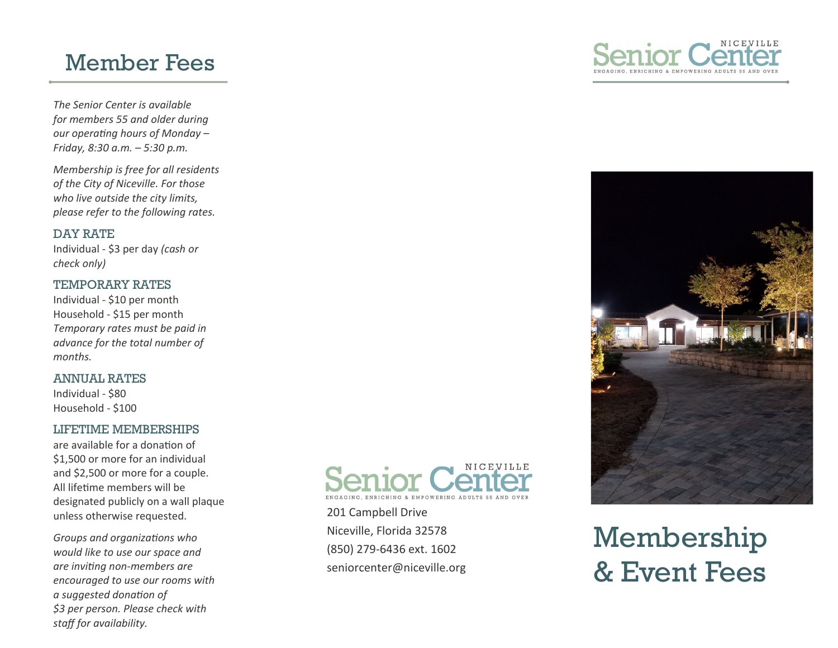# Member Fees

*The Senior Center is available for members 55 and older during our operaƟng hours of Monday – Friday, 8:30 a.m. – 5:30 p.m.* 

*Membership is free for all residents of the City of Niceville. For those who live outside the city limits, please refer to the following rates.* 

### DAY RATE

Individual ‐ \$3 per day *(cash or check only)*

## TEMPORARY RATES

Individual ‐ \$10 per month Household ‐ \$15 per month *Temporary rates must be paid in advance for the total number of months.* 

### ANNUAL RATES

Individual ‐ \$80 Household ‐ \$100

### LIFETIME MEMBERSHIPS

are available for a donation of \$1,500 or more for an individual and \$2,500 or more for a couple. All lifetime members will be designated publicly on a wall plaque unless otherwise requested.

*Groups and organizaƟons who would like to use our space and are inviƟng non‐members are encouraged to use our rooms with a suggested donaƟon of \$3 per person. Please check with staff for availability.* 



201 Campbell Drive Niceville, Florida 32578 (850) 279‐6436 ext. 1602 seniorcenter@niceville.org





Membership & Event Fees